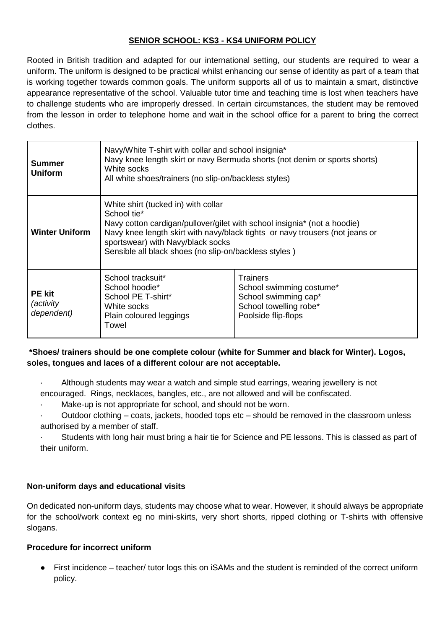## **SENIOR SCHOOL: KS3 - KS4 UNIFORM POLICY**

Rooted in British tradition and adapted for our international setting, our students are required to wear a uniform. The uniform is designed to be practical whilst enhancing our sense of identity as part of a team that is working together towards common goals. The uniform supports all of us to maintain a smart, distinctive appearance representative of the school. Valuable tutor time and teaching time is lost when teachers have to challenge students who are improperly dressed. In certain circumstances, the student may be removed from the lesson in order to telephone home and wait in the school office for a parent to bring the correct clothes.

| <b>Summer</b><br><b>Uniform</b>                 | Navy/White T-shirt with collar and school insignia*<br>Navy knee length skirt or navy Bermuda shorts (not denim or sports shorts)<br>White socks<br>All white shoes/trainers (no slip-on/backless styles)                                                                                                    |                                                                                                               |
|-------------------------------------------------|--------------------------------------------------------------------------------------------------------------------------------------------------------------------------------------------------------------------------------------------------------------------------------------------------------------|---------------------------------------------------------------------------------------------------------------|
| <b>Winter Uniform</b>                           | White shirt (tucked in) with collar<br>School tie*<br>Navy cotton cardigan/pullover/gilet with school insignia* (not a hoodie)<br>Navy knee length skirt with navy/black tights or navy trousers (not jeans or<br>sportswear) with Navy/black socks<br>Sensible all black shoes (no slip-on/backless styles) |                                                                                                               |
| <b>PE</b> kit<br><i>(activity</i><br>dependent) | School tracksuit*<br>School hoodie*<br>School PE T-shirt*<br>White socks<br>Plain coloured leggings<br>Towel                                                                                                                                                                                                 | Trainers<br>School swimming costume*<br>School swimming cap*<br>School towelling robe*<br>Poolside flip-flops |

# **\*Shoes/ trainers should be one complete colour (white for Summer and black for Winter). Logos, soles, tongues and laces of a different colour are not acceptable.**

- Although students may wear a watch and simple stud earrings, wearing jewellery is not
- encouraged. Rings, necklaces, bangles, etc., are not allowed and will be confiscated.
- Make-up is not appropriate for school, and should not be worn.
- · Outdoor clothing coats, jackets, hooded tops etc should be removed in the classroom unless authorised by a member of staff.
- Students with long hair must bring a hair tie for Science and PE lessons. This is classed as part of their uniform.

## **Non-uniform days and educational visits**

On dedicated non-uniform days, students may choose what to wear. However, it should always be appropriate for the school/work context eg no mini-skirts, very short shorts, ripped clothing or T-shirts with offensive slogans.

## **Procedure for incorrect uniform**

First incidence – teacher/ tutor logs this on iSAMs and the student is reminded of the correct uniform policy.